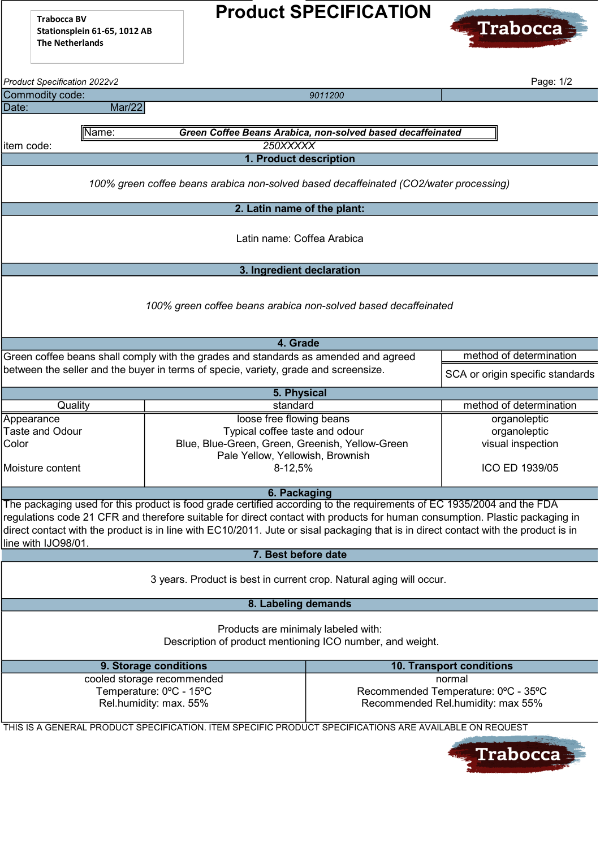Trabocca BV Stationsplein 61-65, 1012 AB The Netherlands

## Product SPECIFICATION



| Product Specification 2022v2                                                                                                                                                                                                                                                                                                                                                                                       |                                                                                                                                                              |                                                                                                                                                                                              | Page: 1/2                |  |  |  |  |  |
|--------------------------------------------------------------------------------------------------------------------------------------------------------------------------------------------------------------------------------------------------------------------------------------------------------------------------------------------------------------------------------------------------------------------|--------------------------------------------------------------------------------------------------------------------------------------------------------------|----------------------------------------------------------------------------------------------------------------------------------------------------------------------------------------------|--------------------------|--|--|--|--|--|
| Commodity code:                                                                                                                                                                                                                                                                                                                                                                                                    |                                                                                                                                                              | 9011200                                                                                                                                                                                      |                          |  |  |  |  |  |
| Date:<br>Mar/22                                                                                                                                                                                                                                                                                                                                                                                                    |                                                                                                                                                              |                                                                                                                                                                                              |                          |  |  |  |  |  |
|                                                                                                                                                                                                                                                                                                                                                                                                                    |                                                                                                                                                              |                                                                                                                                                                                              |                          |  |  |  |  |  |
| Name:<br>Green Coffee Beans Arabica, non-solved based decaffeinated                                                                                                                                                                                                                                                                                                                                                |                                                                                                                                                              |                                                                                                                                                                                              |                          |  |  |  |  |  |
| item code:                                                                                                                                                                                                                                                                                                                                                                                                         | 250XXXXX                                                                                                                                                     |                                                                                                                                                                                              |                          |  |  |  |  |  |
| 1. Product description                                                                                                                                                                                                                                                                                                                                                                                             |                                                                                                                                                              |                                                                                                                                                                                              |                          |  |  |  |  |  |
| 100% green coffee beans arabica non-solved based decaffeinated (CO2/water processing)                                                                                                                                                                                                                                                                                                                              |                                                                                                                                                              |                                                                                                                                                                                              |                          |  |  |  |  |  |
|                                                                                                                                                                                                                                                                                                                                                                                                                    | 2. Latin name of the plant:                                                                                                                                  |                                                                                                                                                                                              |                          |  |  |  |  |  |
| Latin name: Coffea Arabica                                                                                                                                                                                                                                                                                                                                                                                         |                                                                                                                                                              |                                                                                                                                                                                              |                          |  |  |  |  |  |
|                                                                                                                                                                                                                                                                                                                                                                                                                    | 3. Ingredient declaration                                                                                                                                    |                                                                                                                                                                                              |                          |  |  |  |  |  |
| 100% green coffee beans arabica non-solved based decaffeinated                                                                                                                                                                                                                                                                                                                                                     |                                                                                                                                                              |                                                                                                                                                                                              |                          |  |  |  |  |  |
|                                                                                                                                                                                                                                                                                                                                                                                                                    | 4. Grade                                                                                                                                                     |                                                                                                                                                                                              |                          |  |  |  |  |  |
|                                                                                                                                                                                                                                                                                                                                                                                                                    | Green coffee beans shall comply with the grades and standards as amended and agreed                                                                          |                                                                                                                                                                                              | method of determination  |  |  |  |  |  |
| between the seller and the buyer in terms of specie, variety, grade and screensize.                                                                                                                                                                                                                                                                                                                                |                                                                                                                                                              | SCA or origin specific standards                                                                                                                                                             |                          |  |  |  |  |  |
| 5. Physical                                                                                                                                                                                                                                                                                                                                                                                                        |                                                                                                                                                              |                                                                                                                                                                                              |                          |  |  |  |  |  |
| Quality                                                                                                                                                                                                                                                                                                                                                                                                            | standard                                                                                                                                                     |                                                                                                                                                                                              | method of determination  |  |  |  |  |  |
| Appearance<br><b>Taste and Odour</b><br>Color<br>Moisture content                                                                                                                                                                                                                                                                                                                                                  | loose free flowing beans<br>Typical coffee taste and odour<br>Blue, Blue-Green, Green, Greenish, Yellow-Green<br>Pale Yellow, Yellowish, Brownish<br>8-12,5% | organoleptic<br>organoleptic<br>visual inspection<br>ICO ED 1939/05                                                                                                                          |                          |  |  |  |  |  |
|                                                                                                                                                                                                                                                                                                                                                                                                                    | 6. Packaging                                                                                                                                                 |                                                                                                                                                                                              |                          |  |  |  |  |  |
| The packaging used for this product is food grade certified according to the requirements of EC 1935/2004 and the FDA<br>regulations code 21 CFR and therefore suitable for direct contact with products for human consumption. Plastic packaging in<br>direct contact with the product is in line with EC10/2011. Jute or sisal packaging that is in direct contact with the product is in<br>line with IJO98/01. |                                                                                                                                                              |                                                                                                                                                                                              |                          |  |  |  |  |  |
|                                                                                                                                                                                                                                                                                                                                                                                                                    | 7. Best before date                                                                                                                                          |                                                                                                                                                                                              |                          |  |  |  |  |  |
| 3 years. Product is best in current crop. Natural aging will occur.                                                                                                                                                                                                                                                                                                                                                |                                                                                                                                                              |                                                                                                                                                                                              |                          |  |  |  |  |  |
| 8. Labeling demands                                                                                                                                                                                                                                                                                                                                                                                                |                                                                                                                                                              |                                                                                                                                                                                              |                          |  |  |  |  |  |
| Products are minimaly labeled with:<br>Description of product mentioning ICO number, and weight.                                                                                                                                                                                                                                                                                                                   |                                                                                                                                                              |                                                                                                                                                                                              |                          |  |  |  |  |  |
|                                                                                                                                                                                                                                                                                                                                                                                                                    | 9. Storage conditions                                                                                                                                        |                                                                                                                                                                                              | 10. Transport conditions |  |  |  |  |  |
|                                                                                                                                                                                                                                                                                                                                                                                                                    | cooled storage recommended<br>Temperature: 0°C - 15°C<br>Rel.humidity: max. 55%                                                                              | normal<br>Recommended Temperature: 0°C - 35°C<br>Recommended Rel.humidity: max 55%<br>THIS IS A GENERAL PRODUCT SPECIFICATION. ITEM SPECIFIC PRODUCT SPECIFICATIONS ARE AVAILABLE ON REQUEST |                          |  |  |  |  |  |
|                                                                                                                                                                                                                                                                                                                                                                                                                    |                                                                                                                                                              |                                                                                                                                                                                              |                          |  |  |  |  |  |